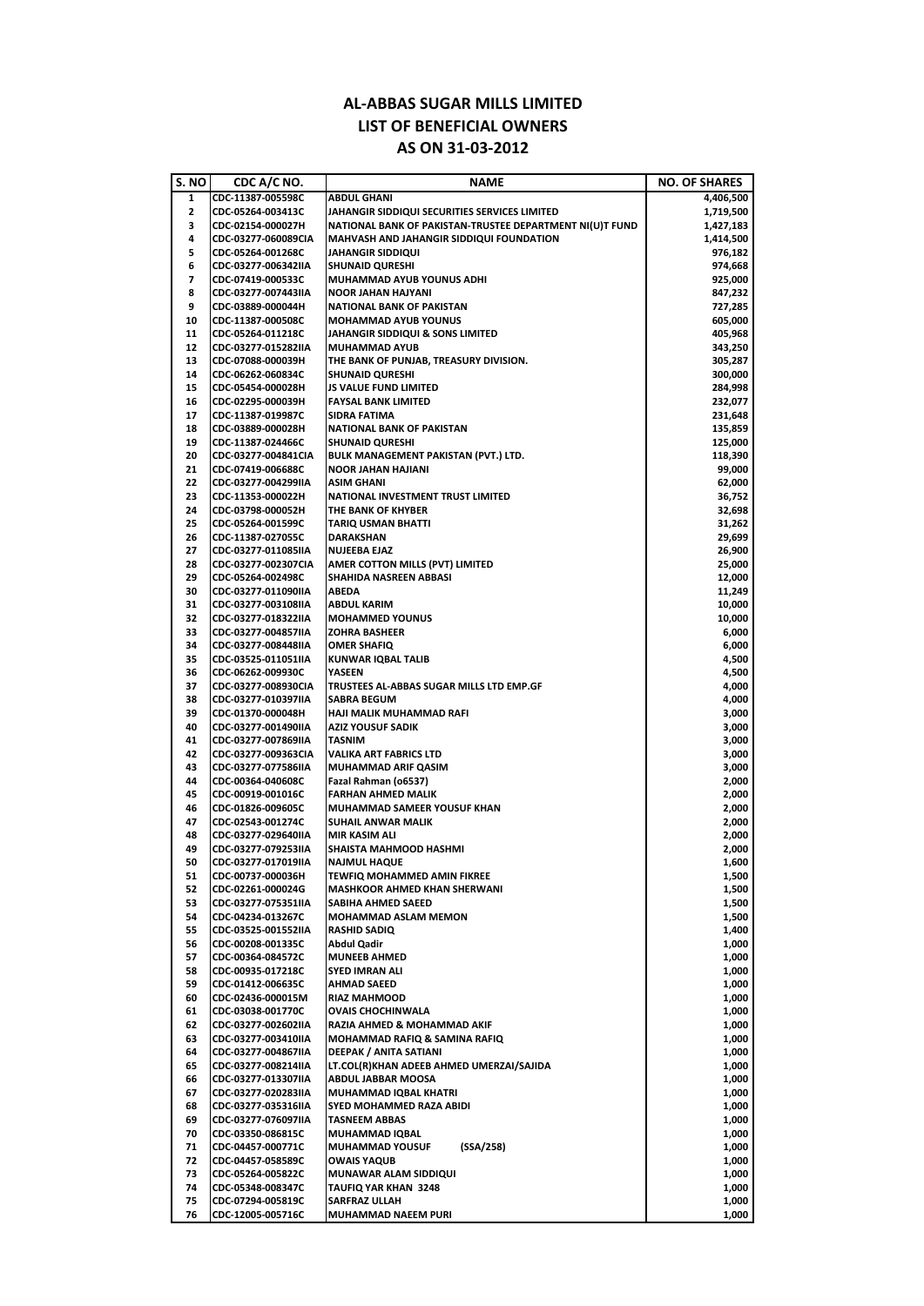| S. NO        | CDC A/C NO.         | <b>NAME</b>                                              | <b>NO. OF SHARES</b> |
|--------------|---------------------|----------------------------------------------------------|----------------------|
| 1            | CDC-11387-005598C   | <b>ABDUL GHANI</b>                                       | 4,406,500            |
| $\mathbf{2}$ | CDC-05264-003413C   | JAHANGIR SIDDIQUI SECURITIES SERVICES LIMITED            | 1,719,500            |
| 3            | CDC-02154-000027H   | NATIONAL BANK OF PAKISTAN-TRUSTEE DEPARTMENT NI(U)T FUND | 1,427,183            |
| 4            | CDC-03277-060089CIA | MAHVASH AND JAHANGIR SIDDIQUI FOUNDATION                 | 1,414,500            |
| 5            | CDC-05264-001268C   | <b>JAHANGIR SIDDIQUI</b>                                 | 976,182              |
| 6            | CDC-03277-006342IIA | <b>SHUNAID QURESHI</b>                                   | 974,668              |
| 7            | CDC-07419-000533C   | <b>MUHAMMAD AYUB YOUNUS ADHI</b>                         | 925,000              |
| 8            | CDC-03277-007443IIA | <b>NOOR JAHAN HAJYANI</b>                                | 847,232              |
| 9            | CDC-03889-000044H   | <b>NATIONAL BANK OF PAKISTAN</b>                         | 727,285              |
| 10           | CDC-11387-000508C   | <b>MOHAMMAD AYUB YOUNUS</b>                              | 605,000              |
| 11           | CDC-05264-011218C   | <b>JAHANGIR SIDDIQUI &amp; SONS LIMITED</b>              | 405,968              |
| 12           | CDC-03277-015282IIA | <b>MUHAMMAD AYUB</b>                                     | 343,250              |
| 13           | CDC-07088-000039H   | THE BANK OF PUNJAB, TREASURY DIVISION.                   | 305,287              |
| 14           | CDC-06262-060834C   | <b>SHUNAID QURESHI</b>                                   | 300,000              |
| 15           | CDC-05454-000028H   | <b>JS VALUE FUND LIMITED</b>                             | 284,998              |
| 16           | CDC-02295-000039H   | <b>FAYSAL BANK LIMITED</b>                               | 232,077              |
| 17           | CDC-11387-019987C   | <b>SIDRA FATIMA</b>                                      | 231,648              |
| 18           | CDC-03889-000028H   | <b>NATIONAL BANK OF PAKISTAN</b>                         | 135,859              |
| 19           | CDC-11387-024466C   | <b>SHUNAID QURESHI</b>                                   | 125,000              |
| 20           | CDC-03277-004841CIA | <b>BULK MANAGEMENT PAKISTAN (PVT.) LTD.</b>              | 118,390              |
| 21           | CDC-07419-006688C   | <b>NOOR JAHAN HAJIANI</b>                                | 99,000               |
| 22           | CDC-03277-004299IIA | <b>ASIM GHANI</b>                                        | 62,000               |
| 23           | CDC-11353-000022H   | <b>NATIONAL INVESTMENT TRUST LIMITED</b>                 | 36,752               |
| 24           | CDC-03798-000052H   | THE BANK OF KHYBER                                       | 32,698               |
| 25           | CDC-05264-001599C   | <b>TARIQ USMAN BHATTI</b>                                | 31,262               |
| 26           | CDC-11387-027055C   | <b>DARAKSHAN</b>                                         | 29,699               |
| 27           | CDC-03277-011085IIA | <b>NUJEEBA EJAZ</b>                                      | 26,900               |
| 28           | CDC-03277-002307CIA | AMER COTTON MILLS (PVT) LIMITED                          | 25,000               |
| 29           | CDC-05264-002498C   | <b>SHAHIDA NASREEN ABBASI</b>                            | 12,000               |
| 30           | CDC-03277-011090IIA | <b>ABEDA</b>                                             | 11,249               |
| 31           | CDC-03277-003108IIA | <b>ABDUL KARIM</b>                                       | 10,000               |
| 32           | CDC-03277-018322IIA | <b>MOHAMMED YOUNUS</b>                                   | 10,000               |
| 33           | CDC-03277-004857IIA | <b>ZOHRA BASHEER</b>                                     | 6,000                |
| 34           | CDC-03277-008448IIA | <b>OMER SHAFIQ</b>                                       | 6,000                |
| 35           | CDC-03525-011051IIA | <b>KUNWAR IQBAL TALIB</b>                                | 4,500                |
| 36           | CDC-06262-009930C   | YASEEN                                                   | 4,500                |
| 37           | CDC-03277-008930CIA | TRUSTEES AL-ABBAS SUGAR MILLS LTD EMP.GF                 | 4,000                |
| 38           | CDC-03277-010397IIA | <b>SABRA BEGUM</b>                                       | 4,000                |
| 39           | CDC-01370-000048H   | <b>HAJI MALIK MUHAMMAD RAFI</b>                          | 3,000                |
| 40           | CDC-03277-001490IIA | <b>AZIZ YOUSUF SADIK</b>                                 | 3,000                |
| 41           | CDC-03277-007869IIA | <b>TASNIM</b>                                            | 3,000                |
| 42           | CDC-03277-009363CIA | <b>VALIKA ART FABRICS LTD</b>                            | 3,000                |
| 43           | CDC-03277-077586IIA | <b>MUHAMMAD ARIF QASIM</b>                               | 3,000                |
| 44           | CDC-00364-040608C   | Fazal Rahman (06537)                                     | 2,000                |
| 45           | CDC-00919-001016C   | <b>FARHAN AHMED MALIK</b>                                | 2,000                |
| 46           | CDC-01826-009605C   | <b>MUHAMMAD SAMEER YOUSUF KHAN</b>                       | 2,000                |
| 47           | CDC-02543-001274C   | SUHAIL ANWAR MALIK                                       | 2,000                |
| 48           | CDC-03277-029640IIA | <b>MIR KASIM ALI</b>                                     | 2,000                |
| 49           | CDC-03277-079253IIA | <b>SHAISTA MAHMOOD HASHMI</b>                            | 2,000                |
| 50           | CDC-03277-017019IIA | <b>NAJMUL HAQUE</b>                                      | 1,600                |
| 51           | CDC-00737-000036H   | <b>TEWFIQ MOHAMMED AMIN FIKREE</b>                       | 1,500                |
| 52           | CDC-02261-000024G   | <b>MASHKOOR AHMED KHAN SHERWANI</b>                      | 1,500                |
| 53           | CDC-03277-075351IIA | SABIHA AHMED SAEED                                       | 1,500                |
| 54           | CDC-04234-013267C   | <b>MOHAMMAD ASLAM MEMON</b>                              | 1,500                |
| 55           | CDC-03525-001552IIA | <b>RASHID SADIQ</b>                                      | 1,400                |
| 56           | CDC-00208-001335C   | <b>Abdul Qadir</b>                                       | 1,000                |
| 57           | CDC-00364-084572C   | <b>MUNEEB AHMED</b>                                      | 1,000                |
| 58           | CDC-00935-017218C   | <b>SYED IMRAN ALI</b>                                    | 1,000                |
| 59           | CDC-01412-006635C   | <b>AHMAD SAEED</b>                                       | 1,000                |
| 60           | CDC-02436-000015M   | <b>RIAZ MAHMOOD</b>                                      | 1,000                |
| 61           | CDC-03038-001770C   | <b>OVAIS CHOCHINWALA</b>                                 | 1,000                |
| 62           | CDC-03277-002602IIA | RAZIA AHMED & MOHAMMAD AKIF                              | 1,000                |
| 63           | CDC-03277-003410IIA | MOHAMMAD RAFIQ & SAMINA RAFIQ                            | 1,000                |
| 64           | CDC-03277-004867IIA | DEEPAK / ANITA SATIANI                                   | 1,000                |
| 65           | CDC-03277-008214IIA | LT.COL(R)KHAN ADEEB AHMED UMERZAI/SAJIDA                 | 1,000                |
| 66           | CDC-03277-013307IIA | <b>ABDUL JABBAR MOOSA</b>                                | 1,000                |
| 67           | CDC-03277-020283IIA | MUHAMMAD IQBAL KHATRI                                    | 1,000                |
| 68           | CDC-03277-035316IIA | <b>SYED MOHAMMED RAZA ABIDI</b>                          | 1,000                |
| 69           | CDC-03277-076097IIA | <b>TASNEEM ABBAS</b>                                     | 1,000                |
| 70           | CDC-03350-086815C   | <b>MUHAMMAD IQBAL</b>                                    | 1,000                |
| 71           | CDC-04457-000771C   | (SSA/258)<br><b>MUHAMMAD YOUSUF</b>                      | 1,000                |
| 72           | CDC-04457-058589C   | <b>OWAIS YAQUB</b>                                       | 1,000                |
| 73           | CDC-05264-005822C   | <b>MUNAWAR ALAM SIDDIQUI</b>                             | 1,000                |
| 74           | CDC-05348-008347C   | <b>TAUFIQ YAR KHAN 3248</b>                              | 1,000                |
| 75           | CDC-07294-005819C   | <b>SARFRAZ ULLAH</b>                                     | 1,000                |
| 76           | CDC-12005-005716C   | MUHAMMAD NAEEM PURI                                      | 1,000                |

## **AL‐ABBAS SUGAR MILLS LIMITED LIST OF BENEFICIAL OWNERS AS ON 31‐03‐2012**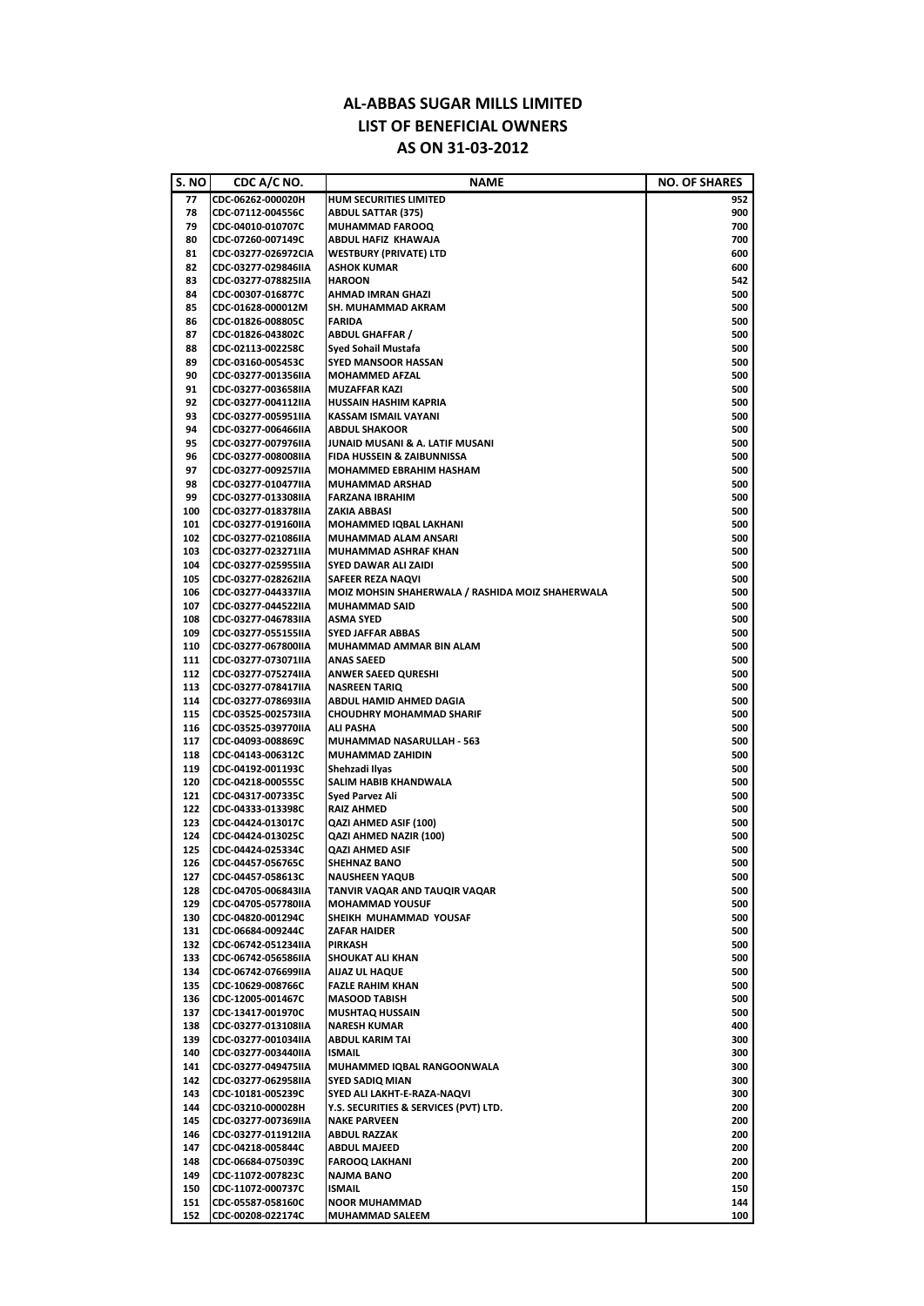## **AL‐ABBAS SUGAR MILLS LIMITED LIST OF BENEFICIAL OWNERS AS ON 31‐03‐2012**

| S. NO | CDC A/C NO.         | <b>NAME</b>                                      | <b>NO. OF SHARES</b> |
|-------|---------------------|--------------------------------------------------|----------------------|
| 77    | CDC-06262-000020H   | <b>HUM SECURITIES LIMITED</b>                    | 952                  |
| 78    | CDC-07112-004556C   | <b>ABDUL SATTAR (375)</b>                        | 900                  |
| 79    | CDC-04010-010707C   | <b>MUHAMMAD FAROOQ</b>                           | 700                  |
| 80    | CDC-07260-007149C   | <b>ABDUL HAFIZ KHAWAJA</b>                       | 700                  |
| 81    | CDC-03277-026972CIA | <b>WESTBURY (PRIVATE) LTD</b>                    | 600                  |
| 82    | CDC-03277-029846IIA | <b>ASHOK KUMAR</b>                               | 600                  |
| 83    | CDC-03277-078825IIA | <b>HAROON</b>                                    | 542                  |
| 84    | CDC-00307-016877C   | <b>AHMAD IMRAN GHAZI</b>                         | 500                  |
| 85    | CDC-01628-000012M   | <b>SH. MUHAMMAD AKRAM</b>                        | 500                  |
| 86    | CDC-01826-008805C   | <b>FARIDA</b>                                    | 500                  |
| 87    | CDC-01826-043802C   | <b>ABDUL GHAFFAR /</b>                           | 500                  |
| 88    | CDC-02113-002258C   | <b>Syed Sohail Mustafa</b>                       | 500                  |
| 89    | CDC-03160-005453C   | <b>SYED MANSOOR HASSAN</b>                       | 500                  |
| 90    | CDC-03277-001356IIA | <b>MOHAMMED AFZAL</b>                            | 500                  |
| 91    | CDC-03277-003658IIA | <b>MUZAFFAR KAZI</b>                             | 500                  |
| 92    | CDC-03277-004112IIA | <b>HUSSAIN HASHIM KAPRIA</b>                     | 500                  |
| 93    | CDC-03277-005951IIA | <b>KASSAM ISMAIL VAYANI</b>                      | 500                  |
| 94    | CDC-03277-006466IIA | <b>ABDUL SHAKOOR</b>                             | 500                  |
| 95    | CDC-03277-007976IIA | JUNAID MUSANI & A. LATIF MUSANI                  | 500                  |
| 96    | CDC-03277-008008IIA | <b>FIDA HUSSEIN &amp; ZAIBUNNISSA</b>            | 500                  |
| 97    | CDC-03277-009257IIA | <b>MOHAMMED EBRAHIM HASHAM</b>                   | 500                  |
| 98    | CDC-03277-010477IIA | <b>MUHAMMAD ARSHAD</b>                           | 500                  |
| 99    | CDC-03277-013308IIA | FARZANA IBRAHIM                                  | 500                  |
| 100   | CDC-03277-018378IIA | <b>ZAKIA ABBASI</b>                              | 500                  |
| 101   | CDC-03277-019160IIA | <b>MOHAMMED IQBAL LAKHANI</b>                    | 500                  |
| 102   | CDC-03277-021086IIA | MUHAMMAD ALAM ANSARI                             | 500                  |
| 103   | CDC-03277-023271IIA | IMUHAMMAD ASHRAF KHAN                            | 500                  |
|       |                     |                                                  |                      |
| 104   | CDC-03277-025955IIA | <b>SYED DAWAR ALI ZAIDI</b>                      | 500                  |
| 105   | CDC-03277-028262IIA | <b>SAFEER REZA NAQVI</b>                         | 500                  |
| 106   | CDC-03277-044337IIA | MOIZ MOHSIN SHAHERWALA / RASHIDA MOIZ SHAHERWALA | 500                  |
| 107   | CDC-03277-044522IIA | <b>MUHAMMAD SAID</b>                             | 500                  |
| 108   | CDC-03277-046783IIA | <b>ASMA SYED</b>                                 | 500                  |
| 109   | CDC-03277-055155IIA | <b>SYED JAFFAR ABBAS</b>                         | 500                  |
| 110   | CDC-03277-067800IIA | MUHAMMAD AMMAR BIN ALAM                          | 500                  |
| 111   | CDC-03277-073071IIA | <b>ANAS SAEED</b>                                | 500                  |
| 112   | CDC-03277-07527411A | <b>ANWER SAEED QURESHI</b>                       | 500                  |
| 113   | CDC-03277-078417IIA | <b>NASREEN TARIQ</b>                             | 500                  |
| 114   | CDC-03277-078693IIA | <b>ABDUL HAMID AHMED DAGIA</b>                   | 500                  |
| 115   | CDC-03525-002573IIA | <b>CHOUDHRY MOHAMMAD SHARIF</b>                  | 500                  |
| 116   | CDC-03525-039770IIA | <b>ALI PASHA</b>                                 | 500                  |
| 117   | CDC-04093-008869C   | MUHAMMAD NASARULLAH - 563                        | 500                  |
| 118   | CDC-04143-006312C   | <b>MUHAMMAD ZAHIDIN</b>                          | 500                  |
| 119   | CDC-04192-001193C   | Shehzadi Ilyas                                   | 500                  |
| 120   | CDC-04218-000555C   | <b>SALIM HABIB KHANDWALA</b>                     | 500                  |
| 121   | CDC-04317-007335C   | <b>Syed Parvez Ali</b>                           | 500                  |
| 122   | CDC-04333-013398C   | <b>RAIZ AHMED</b>                                | 500                  |
| 123   | CDC-04424-013017C   | <b>QAZI AHMED ASIF (100)</b>                     | 500                  |
| 124   | CDC-04424-013025C   | <b>QAZI AHMED NAZIR (100)</b>                    | 500                  |
| 125   | CDC-04424-025334C   | <b>QAZI AHMED ASIF</b>                           | 500                  |
| 126   | CDC-04457-056765C   | <b>SHEHNAZ BANO</b>                              | 500                  |
| 127   | CDC-04457-058613C   | <b>NAUSHEEN YAQUB</b>                            | 500                  |
| 128   | CDC-04705-006843IIA | TANVIR VAQAR AND TAUQIR VAQAR                    | 500                  |
| 129   | CDC-04705-057780IIA | <b>MOHAMMAD YOUSUF</b>                           | 500                  |
| 130   | CDC-04820-001294C   | SHEIKH MUHAMMAD YOUSAF                           | 500                  |
| 131   | CDC-06684-009244C   | <b>ZAFAR HAIDER</b>                              | 500                  |
| 132   | CDC-06742-051234IIA | <b>IPIRKASH</b>                                  | 500                  |
| 133   | CDC-06742-056586IIA | <b>SHOUKAT ALI KHAN</b>                          | 500                  |
| 134   | CDC-06742-076699IIA | <b>AIJAZ UL HAQUE</b>                            | 500                  |
| 135   | CDC-10629-008766C   | <b>FAZLE RAHIM KHAN</b>                          | 500                  |
| 136   | CDC-12005-001467C   | <b>MASOOD TABISH</b>                             | 500                  |
| 137   | CDC-13417-001970C   | <b>MUSHTAQ HUSSAIN</b>                           | 500                  |
| 138   | CDC-03277-013108IIA | <b>NARESH KUMAR</b>                              | 400                  |
| 139   | CDC-03277-001034IIA | <b>ABDUL KARIM TAI</b>                           | 300                  |
| 140   | CDC-03277-003440IIA | <b>ISMAIL</b>                                    | 300                  |
| 141   | CDC-03277-049475IIA | MUHAMMED IQBAL RANGOONWALA                       | 300                  |
| 142   | CDC-03277-062958IIA | <b>SYED SADIQ MIAN</b>                           | 300                  |
| 143   | CDC-10181-005239C   | <b>SYED ALI LAKHT-E-RAZA-NAQVI</b>               | 300                  |
| 144   | CDC-03210-000028H   | Y.S. SECURITIES & SERVICES (PVT) LTD.            | 200                  |
| 145   | CDC-03277-007369IIA | <b>NAKE PARVEEN</b>                              | 200                  |
| 146   | CDC-03277-011912IIA | <b>ABDUL RAZZAK</b>                              | 200                  |
|       |                     | <b>ABDUL MAJEED</b>                              |                      |
| 147   | CDC-04218-005844C   |                                                  | 200                  |
| 148   | CDC-06684-075039C   | <b>FAROOQ LAKHANI</b>                            | 200                  |
| 149   | CDC-11072-007823C   | <b>NAJMA BANO</b>                                | 200                  |
| 150   | CDC-11072-000737C   | <b>ISMAIL</b>                                    | 150                  |
| 151   | CDC-05587-058160C   | <b>NOOR MUHAMMAD</b>                             | 144                  |
| 152   | CDC-00208-022174C   | <b>MUHAMMAD SALEEM</b>                           | 100                  |